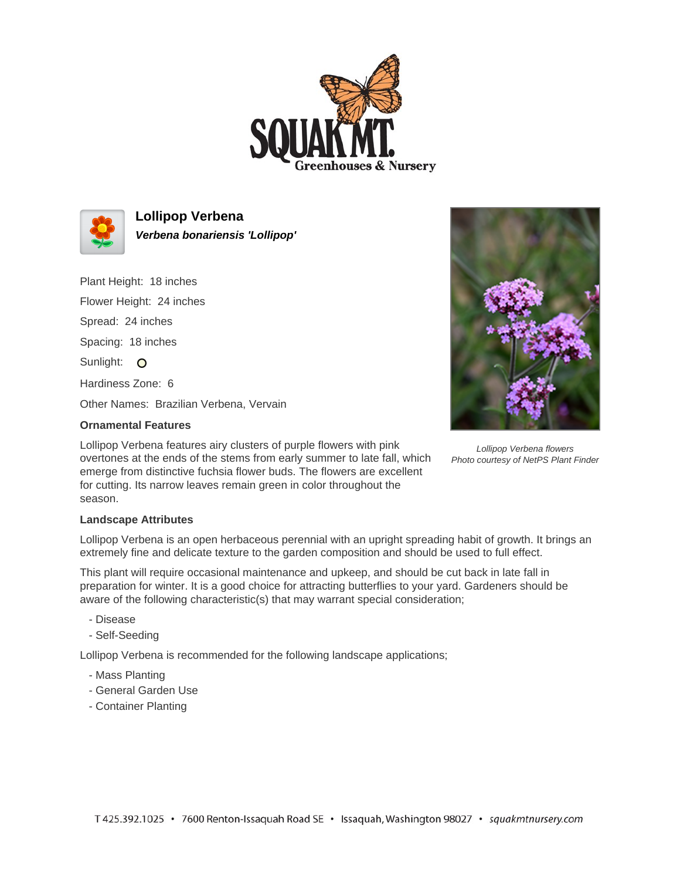



**Lollipop Verbena Verbena bonariensis 'Lollipop'**

Plant Height: 18 inches

Flower Height: 24 inches

Spread: 24 inches

Spacing: 18 inches

Sunlight: O

Hardiness Zone: 6

Other Names: Brazilian Verbena, Vervain

## **Ornamental Features**

Lollipop Verbena flowers Photo courtesy of NetPS Plant Finder

Lollipop Verbena features airy clusters of purple flowers with pink overtones at the ends of the stems from early summer to late fall, which emerge from distinctive fuchsia flower buds. The flowers are excellent for cutting. Its narrow leaves remain green in color throughout the season.

## **Landscape Attributes**

Lollipop Verbena is an open herbaceous perennial with an upright spreading habit of growth. It brings an extremely fine and delicate texture to the garden composition and should be used to full effect.

This plant will require occasional maintenance and upkeep, and should be cut back in late fall in preparation for winter. It is a good choice for attracting butterflies to your yard. Gardeners should be aware of the following characteristic(s) that may warrant special consideration;

- Disease
- Self-Seeding

Lollipop Verbena is recommended for the following landscape applications;

- Mass Planting
- General Garden Use
- Container Planting